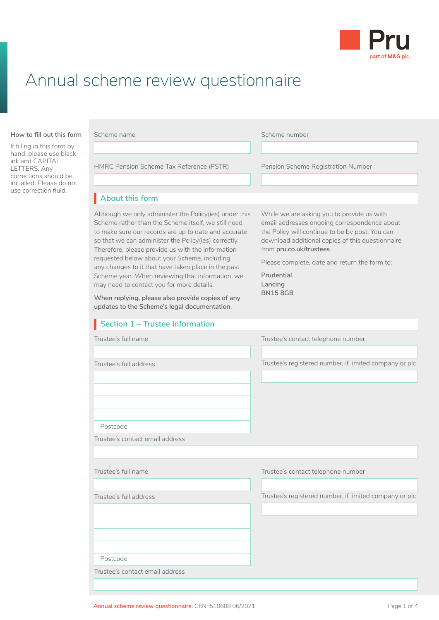

## Annual scheme review questionnaire

#### **About this form How to fill out this form**

If filling in this form by hand, please use black ink and CAPITAL LETTERS. Any corrections should be initialled. Please do not use correction fluid.

| Scheme name |  |  |  |
|-------------|--|--|--|
|-------------|--|--|--|

Scheme number

HMRC Pension Scheme Tax Reference (PSTR) Pension Scheme Registration Number

Scheme (LGPS) application, you need to read:

## About this form

• Client Agreement Scheme rather than the Scheme itself, we still need email addresses ongoing correspondence about to make sure our records are up to date and accurate **the Policy** v Although we only administer the Policy(ies) under this so that we can administer the Policy(ies) correctly. Therefore, please provide us with the information requested below about your Scheme, including any changes to it that have taken place in the past Scheme year. When reviewing that information, we may need to contact you for more details.

**When replying, please also provide copies of any updates to the Scheme's legal documentation**.

### **Section 1 – Trustee information**

While we are asking you to provide us with email addresses ongoing correspondence about the Policy will continue to be by post. You can download additional copies of this questionnaire from **[pru.co.uk/trustees](https://www.pru.co.uk/trustees/)**

Pension Scheme Registration Number

Please complete, date and return the form to:

**Prudential Lancing BN15 8GB**

| Trustee's full name             | Trustee's contact telephone number                     |
|---------------------------------|--------------------------------------------------------|
| Trustee's full address          | Trustee's registered number, if limited company or plc |
| Postcode                        |                                                        |
| Trustee's contact email address |                                                        |
|                                 |                                                        |
| Trustee's full name             | Trustee's contact telephone number                     |
| Trustee's full address          | Trustee's registered number, if limited company or plc |
|                                 |                                                        |
| Postcode                        |                                                        |
| Trustee's contact email address |                                                        |
|                                 |                                                        |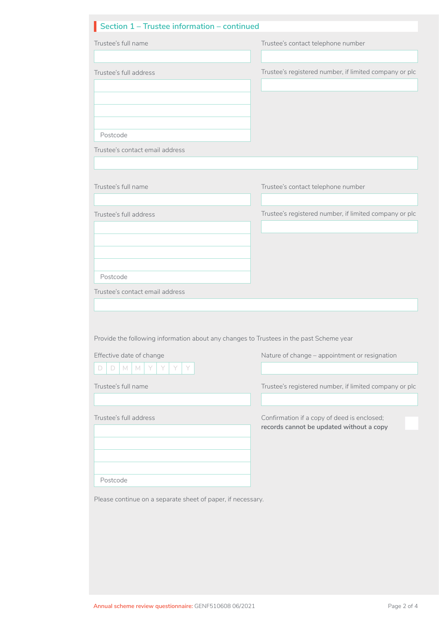| Trustee's full name                                                                     | Trustee's contact telephone number                                                      |
|-----------------------------------------------------------------------------------------|-----------------------------------------------------------------------------------------|
|                                                                                         |                                                                                         |
| Trustee's full address                                                                  | Trustee's registered number, if limited company or plc                                  |
|                                                                                         |                                                                                         |
|                                                                                         |                                                                                         |
|                                                                                         |                                                                                         |
| Postcode                                                                                |                                                                                         |
| Trustee's contact email address                                                         |                                                                                         |
|                                                                                         |                                                                                         |
| Trustee's full name                                                                     | Trustee's contact telephone number                                                      |
|                                                                                         |                                                                                         |
| Trustee's full address                                                                  | Trustee's registered number, if limited company or plc                                  |
|                                                                                         |                                                                                         |
|                                                                                         |                                                                                         |
|                                                                                         |                                                                                         |
| Postcode                                                                                |                                                                                         |
| Trustee's contact email address                                                         |                                                                                         |
|                                                                                         |                                                                                         |
|                                                                                         |                                                                                         |
|                                                                                         |                                                                                         |
| Provide the following information about any changes to Trustees in the past Scheme year |                                                                                         |
| Effective date of change                                                                | Nature of change - appointment or resignation                                           |
| D<br>M<br>Y<br>Y<br>D<br>M<br>Y                                                         |                                                                                         |
| Trustee's full name                                                                     |                                                                                         |
|                                                                                         |                                                                                         |
| Trustee's full address                                                                  | Confirmation if a copy of deed is enclosed;<br>records cannot be updated without a copy |
|                                                                                         |                                                                                         |
|                                                                                         |                                                                                         |
|                                                                                         |                                                                                         |
| Postcode                                                                                | Trustee's registered number, if limited company or plc                                  |
| Please continue on a separate sheet of paper, if necessary.                             |                                                                                         |
|                                                                                         |                                                                                         |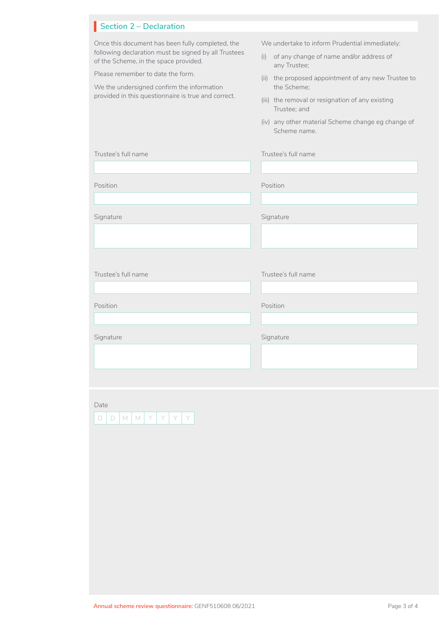### **Section 2 – Declaration**

| Once this document has been fully completed, the<br>following declaration must be signed by all Trustees<br>of the Scheme, in the space provided.<br>Please remember to date the form.<br>We the undersigned confirm the information<br>provided in this questionnaire is true and correct. | We undertake to inform Prudential immediately:<br>of any change of name and/or address of<br>(i)<br>any Trustee;<br>(ii) the proposed appointment of any new Trustee to<br>the Scheme:<br>(iii) the removal or resignation of any existing<br>Trustee; and<br>(iv) any other material Scheme change eg change of<br>Scheme name. |
|---------------------------------------------------------------------------------------------------------------------------------------------------------------------------------------------------------------------------------------------------------------------------------------------|----------------------------------------------------------------------------------------------------------------------------------------------------------------------------------------------------------------------------------------------------------------------------------------------------------------------------------|
| Trustee's full name                                                                                                                                                                                                                                                                         | Trustee's full name                                                                                                                                                                                                                                                                                                              |
| Position                                                                                                                                                                                                                                                                                    | Position                                                                                                                                                                                                                                                                                                                         |
| Signature                                                                                                                                                                                                                                                                                   | Signature                                                                                                                                                                                                                                                                                                                        |
| Trustee's full name                                                                                                                                                                                                                                                                         | Trustee's full name                                                                                                                                                                                                                                                                                                              |
| Position                                                                                                                                                                                                                                                                                    | Position                                                                                                                                                                                                                                                                                                                         |
| Signature                                                                                                                                                                                                                                                                                   | Signature                                                                                                                                                                                                                                                                                                                        |
|                                                                                                                                                                                                                                                                                             |                                                                                                                                                                                                                                                                                                                                  |

Date